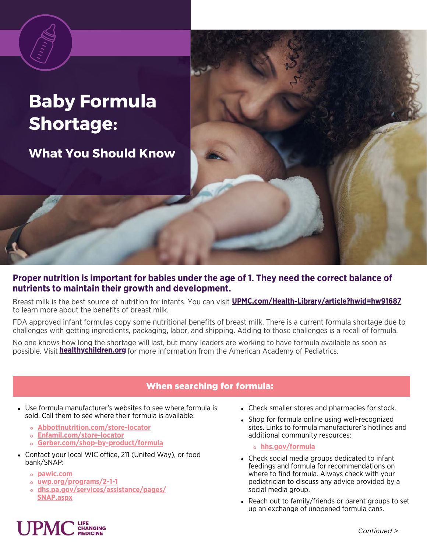# **Baby Formula Shortage:**

**What You Should Know**

## **Proper nutrition is important for babies under the age of 1. They need the correct balance of nutrients to maintain their growth and development.**

Breast milk is the best source of nutrition for infants. You can visit **[UPMC.com/Health-Library/article?hwid=hw91687](http://upmc.com/Health-Library/article?hwid=hw91687)**to learn more about the benefits of breast milk.

FDA approved infant formulas copy some nutritional benefits of breast milk. There is a current formula shortage due to challenges with getting ingredients, packaging, labor, and shipping. Adding to those challenges is a recall of formula.

No one knows how long the shortage will last, but many leaders are working to have formula available as soon as possible. Visit **hea[lthychildren.org](https://healthychildren.org/English/Pages/default.aspx)** for more information from the American Academy of Pediatrics.

## When searching for formula:

- Use formula manufacturer's websites to see where formula is sold. Call them to see where their formula is available:
	- **[Abbottnutrition.com/store-locator](http://abbottnutrition.com/store-locator)**
	- **[Enfamil.com/store-locator](http://enfamil.com/store-locator)**
	- **[Gerber.com/shop-by-product/formula](http://gerber.com/shop-by-product/formula)**
- Contact your local WIC office, 211 (United Way), or food bank/SNAP:
	- **[pawic.com](https://www.pawic.com/FindWICClinics.aspx)**
	- **[uwp.org/programs/2-1-1](http://uwp.org/programs/2-1-1)**
	- **[dhs.pa.gov/services/assistance/pages/](http://dhs.pa.gov/services/assistance/pages/SNAP.aspx)** SNAP.aspx
- Check smaller stores and pharmacies for stock.
- Shop for formula online using well-recognized sites. Links to formula manufacturer's hotlines and additional community resources:

#### **[hhs.gov/formula](https://www.hhs.gov/formula/index.html)**

- Check social media groups dedicated to infant feedings and formula for recommendations on where to find formula. Always check with your pediatrician to discuss any advice provided by a social media group.
- Reach out to family/friends or parent groups to set up an exchange of unopened formula cans.